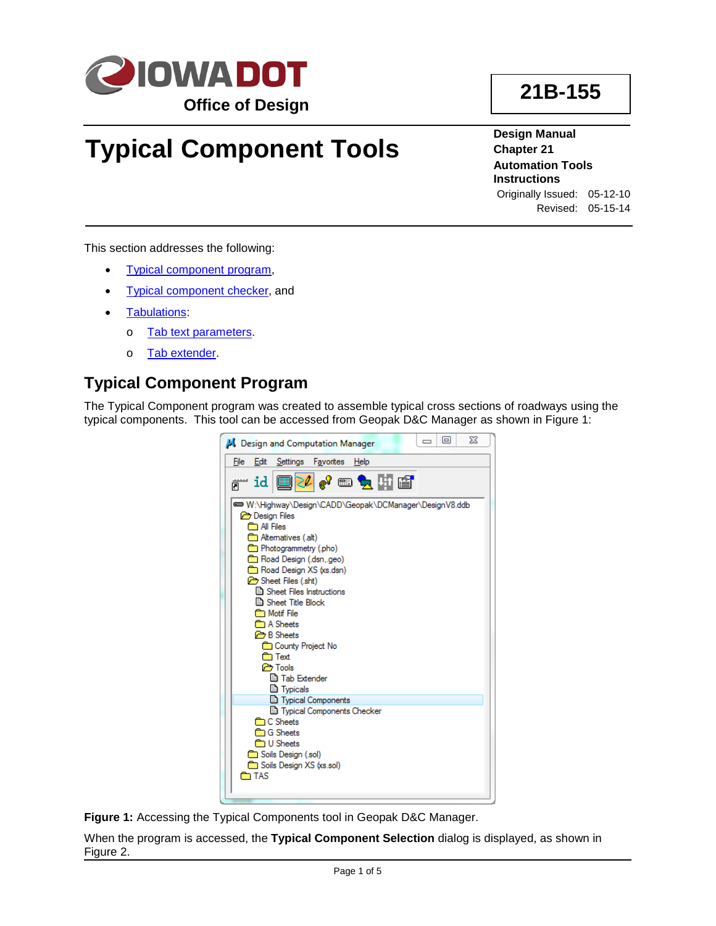

# **Typical Component Tools**

**Design Manual Chapter 21 Automation Tools Instructions** Originally Issued: 05-12-10

**21B-155**

Revised: 05-15-14

This section addresses the following:

- [Typical component](#page-0-0) program,
- **[Typical component checker,](#page-3-0) and**
- [Tabulations:](#page-3-1)
	- o Tab [text parameters.](#page-3-2)
	- o [Tab extender.](#page-4-0)

# <span id="page-0-0"></span>**Typical Component Program**

The Typical Component program was created to assemble typical cross sections of roadways using the typical components. This tool can be accessed from Geopak D&C Manager as shown in Figure 1:



**Figure 1:** Accessing the Typical Components tool in Geopak D&C Manager.

When the program is accessed, the **Typical Component Selection** dialog is displayed, as shown in Figure 2.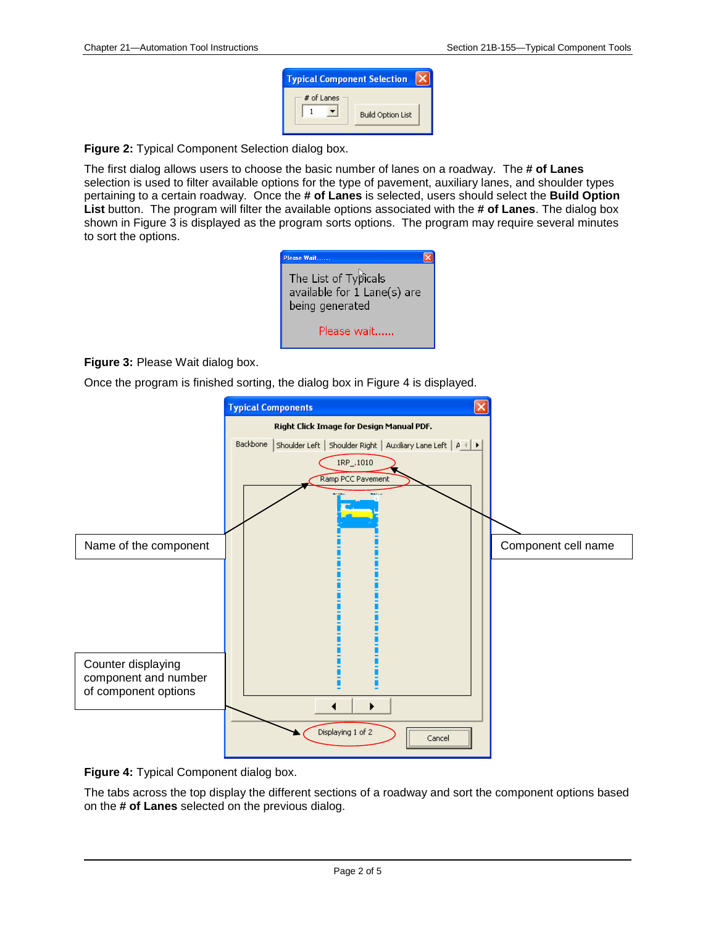| <b>Typical Component Selection</b> |                          |  |  |  |  |
|------------------------------------|--------------------------|--|--|--|--|
| $#$ of Lanes                       |                          |  |  |  |  |
|                                    | <b>Build Option List</b> |  |  |  |  |
|                                    |                          |  |  |  |  |

**Figure 2:** Typical Component Selection dialog box.

The first dialog allows users to choose the basic number of lanes on a roadway. The **# of Lanes** selection is used to filter available options for the type of pavement, auxiliary lanes, and shoulder types pertaining to a certain roadway. Once the **# of Lanes** is selected, users should select the **Build Option List** button. The program will filter the available options associated with the **# of Lanes**. The dialog box shown in Figure 3 is displayed as the program sorts options. The program may require several minutes to sort the options.



#### **Figure 3:** Please Wait dialog box.

Once the program is finished sorting, the dialog box in Figure 4 is displayed.





The tabs across the top display the different sections of a roadway and sort the component options based on the **# of Lanes** selected on the previous dialog.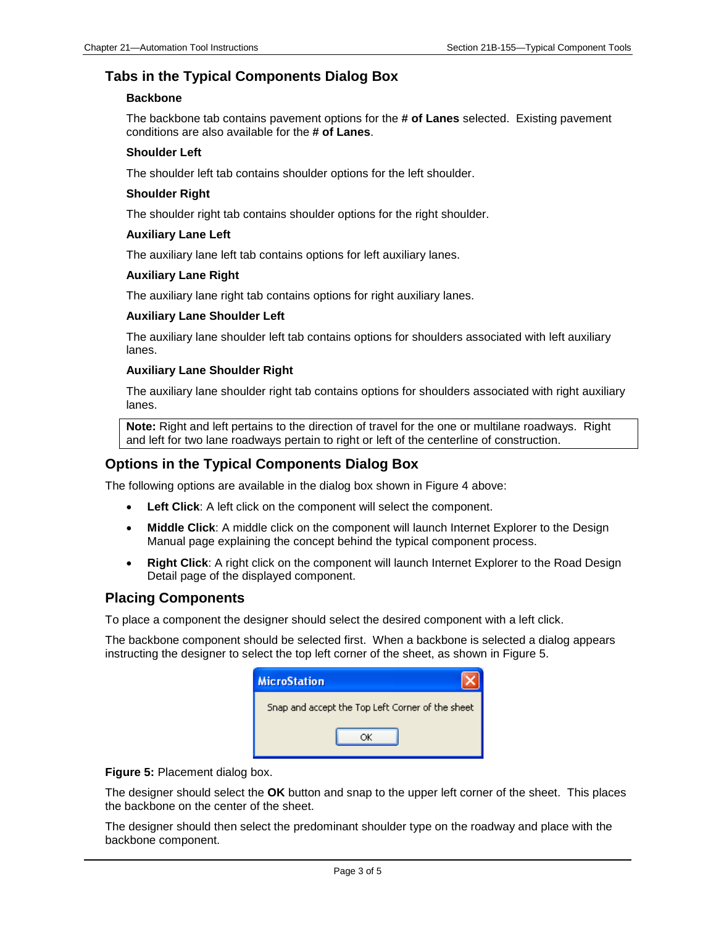## **Tabs in the Typical Components Dialog Box**

#### **Backbone**

The backbone tab contains pavement options for the **# of Lanes** selected. Existing pavement conditions are also available for the **# of Lanes**.

#### **Shoulder Left**

The shoulder left tab contains shoulder options for the left shoulder.

#### **Shoulder Right**

The shoulder right tab contains shoulder options for the right shoulder.

#### **Auxiliary Lane Left**

The auxiliary lane left tab contains options for left auxiliary lanes.

#### **Auxiliary Lane Right**

The auxiliary lane right tab contains options for right auxiliary lanes.

#### **Auxiliary Lane Shoulder Left**

The auxiliary lane shoulder left tab contains options for shoulders associated with left auxiliary lanes.

#### **Auxiliary Lane Shoulder Right**

The auxiliary lane shoulder right tab contains options for shoulders associated with right auxiliary lanes.

**Note:** Right and left pertains to the direction of travel for the one or multilane roadways. Right and left for two lane roadways pertain to right or left of the centerline of construction.

### **Options in the Typical Components Dialog Box**

The following options are available in the dialog box shown in Figure 4 above:

- **Left Click**: A left click on the component will select the component.
- **Middle Click**: A middle click on the component will launch Internet Explorer to the Design Manual page explaining the concept behind the typical component process.
- **Right Click**: A right click on the component will launch Internet Explorer to the Road Design Detail page of the displayed component.

### **Placing Components**

To place a component the designer should select the desired component with a left click.

The backbone component should be selected first. When a backbone is selected a dialog appears instructing the designer to select the top left corner of the sheet, as shown in Figure 5.

| <b>MicroStation</b>                              |
|--------------------------------------------------|
| Snap and accept the Top Left Corner of the sheet |
|                                                  |

**Figure 5:** Placement dialog box.

The designer should select the **OK** button and snap to the upper left corner of the sheet. This places the backbone on the center of the sheet.

The designer should then select the predominant shoulder type on the roadway and place with the backbone component.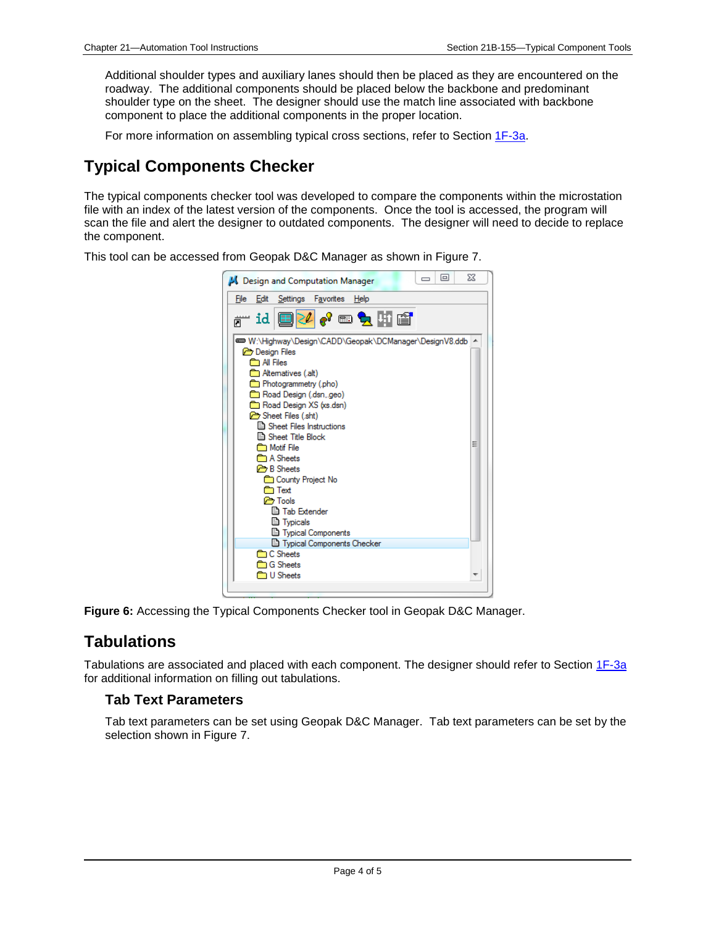Additional shoulder types and auxiliary lanes should then be placed as they are encountered on the roadway. The additional components should be placed below the backbone and predominant shoulder type on the sheet. The designer should use the match line associated with backbone component to place the additional components in the proper location.

For more information on assembling typical cross sections, refer to Section 1F-3a.

# <span id="page-3-0"></span>**Typical Components Checker**

The typical components checker tool was developed to compare the components within the microstation file with an index of the latest version of the components. Once the tool is accessed, the program will scan the file and alert the designer to outdated components. The designer will need to decide to replace the component.

This tool can be accessed from Geopak D&C Manager as shown in Figure 7.



**Figure 6:** Accessing the Typical Components Checker tool in Geopak D&C Manager.

# <span id="page-3-1"></span>**Tabulations**

Tabulations are associated and placed with each component. The designer should refer to Section 1F-3a for additional information on filling out tabulations.

## <span id="page-3-2"></span>**Tab Text Parameters**

Tab text parameters can be set using Geopak D&C Manager. Tab text parameters can be set by the selection shown in Figure 7.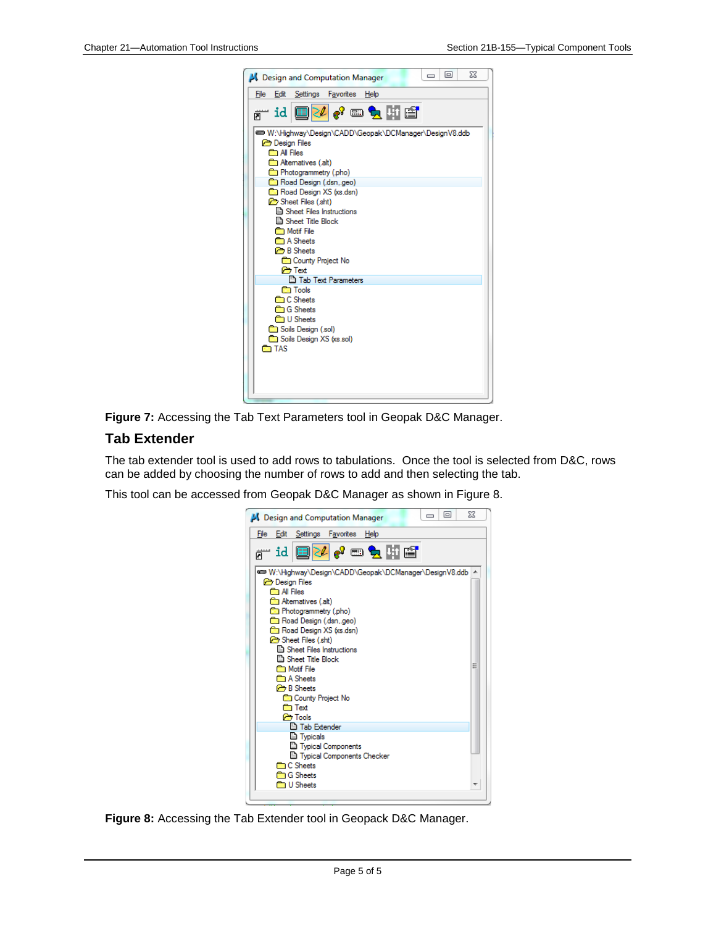| File                  | Edit                 | Settings                                               | Favorites | Help |  |  |  |
|-----------------------|----------------------|--------------------------------------------------------|-----------|------|--|--|--|
|                       |                      | <sub>ฅ</sub> ™id ©PL 0º®d}!\[@`                        |           |      |  |  |  |
|                       |                      | @@M:\Highway\Design\CADD\Geopak\DCManager\DesignV8.ddb |           |      |  |  |  |
|                       | <b>Com</b> All Files | <b>B</b> Design Files                                  |           |      |  |  |  |
|                       |                      | <b>all</b> Altematives (.alt)                          |           |      |  |  |  |
| Photogrammetry (.pho) |                      |                                                        |           |      |  |  |  |
|                       |                      | Road Design (.dsn,.geo)                                |           |      |  |  |  |
|                       |                      | Road Design XS (xs.dsn)                                |           |      |  |  |  |
|                       |                      | Sheet Files (.sht)                                     |           |      |  |  |  |
|                       |                      | Sheet Files Instructions                               |           |      |  |  |  |
|                       |                      | ⊟। Sheet Title Block<br><b>Motif File</b>              |           |      |  |  |  |
|                       |                      | <b>Company</b> A Sheets                                |           |      |  |  |  |
|                       |                      | <b>B</b> Sheets                                        |           |      |  |  |  |
|                       |                      | County Project No                                      |           |      |  |  |  |
|                       |                      | <b>P</b> Text                                          |           |      |  |  |  |
|                       |                      | <b>■ Tab Text Parameters</b>                           |           |      |  |  |  |
|                       |                      | <b>n</b> Tools<br><b>C</b> Sheets                      |           |      |  |  |  |
|                       |                      | <b>C</b> Sheets                                        |           |      |  |  |  |
|                       |                      | <b>D</b> U Sheets                                      |           |      |  |  |  |
|                       |                      | Soils Design (.sol)                                    |           |      |  |  |  |
|                       |                      | Soils Design XS (xs.sol)                               |           |      |  |  |  |
|                       | <b>n</b> TAS         |                                                        |           |      |  |  |  |
|                       |                      |                                                        |           |      |  |  |  |
|                       |                      |                                                        |           |      |  |  |  |



## <span id="page-4-0"></span>**Tab Extender**

The tab extender tool is used to add rows to tabulations. Once the tool is selected from D&C, rows can be added by choosing the number of rows to add and then selecting the tab.

This tool can be accessed from Geopak D&C Manager as shown in Figure 8.

|                                           |                      | <b>Al</b> Design and Computation Manager               |  |  |      |   |  | 同 |  | X |
|-------------------------------------------|----------------------|--------------------------------------------------------|--|--|------|---|--|---|--|---|
| File                                      | Edit                 | Settings Favorites                                     |  |  | Help |   |  |   |  |   |
|                                           |                      | id ■ <mark>2409 • 59</mark> Hi                         |  |  |      |   |  |   |  |   |
|                                           |                      | W:\Highway\Design\CADD\Geopak\DCManager\DesignV8.ddb ^ |  |  |      |   |  |   |  |   |
|                                           | <b>Com</b> All Files | <b>B</b> Design Files                                  |  |  |      |   |  |   |  |   |
| <b>Et Altematives (.alt)</b>              |                      |                                                        |  |  |      |   |  |   |  |   |
| Photogrammetry (.pho)                     |                      |                                                        |  |  |      |   |  |   |  |   |
| Road Design (.dsn,.geo)                   |                      |                                                        |  |  |      |   |  |   |  |   |
|                                           |                      | Road Design XS (xs.dsn)                                |  |  |      |   |  |   |  |   |
|                                           |                      | Sheet Files (sht)                                      |  |  |      |   |  |   |  |   |
|                                           |                      | Sheet Files Instructions                               |  |  |      |   |  |   |  |   |
| <b>A</b> Sheet Title Block                |                      |                                                        |  |  |      | Ξ |  |   |  |   |
| <b>Motif</b> File<br><b>Comp A Sheets</b> |                      |                                                        |  |  |      |   |  |   |  |   |
|                                           |                      | <b>B</b> Sheets                                        |  |  |      |   |  |   |  |   |
| <b>County Project No</b>                  |                      |                                                        |  |  |      |   |  |   |  |   |
| ि⊡ Text                                   |                      |                                                        |  |  |      |   |  |   |  |   |
|                                           |                      | <b>P</b> Tools                                         |  |  |      |   |  |   |  |   |
| <b>□ Tab Extender</b>                     |                      |                                                        |  |  |      |   |  |   |  |   |
|                                           |                      | <b>D</b> Typicals                                      |  |  |      |   |  |   |  |   |
|                                           |                      | <b>E</b> Typical Components                            |  |  |      |   |  |   |  |   |
| Typical Components Checker                |                      |                                                        |  |  |      |   |  |   |  |   |
| <b>C</b> Sheets                           |                      |                                                        |  |  |      |   |  |   |  |   |
| <b>C</b> Sheets<br><b>D</b> U Sheets      |                      |                                                        |  |  |      |   |  |   |  |   |
|                                           |                      |                                                        |  |  |      |   |  |   |  |   |
|                                           |                      |                                                        |  |  |      |   |  |   |  |   |

**Figure 8:** Accessing the Tab Extender tool in Geopack D&C Manager.